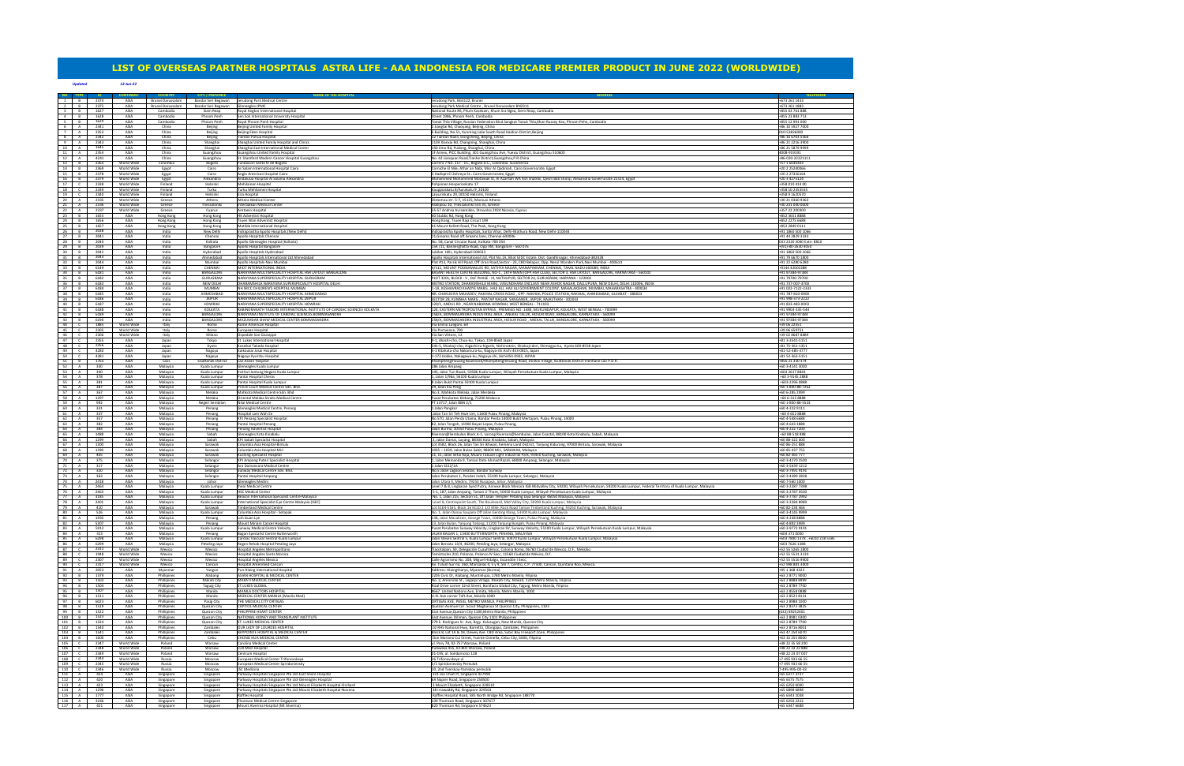|                         |                                              |                          |                            |                            | <b>NAME OF THE HC</b>                                                                                                           |                                                                                                                                                                                                                                  |                                      |
|-------------------------|----------------------------------------------|--------------------------|----------------------------|----------------------------|---------------------------------------------------------------------------------------------------------------------------------|----------------------------------------------------------------------------------------------------------------------------------------------------------------------------------------------------------------------------------|--------------------------------------|
|                         | 2374                                         | ASIA                     | Brunei Darussalam          | Bandar Seri Begawan        | Jerudong Park Medical Centre                                                                                                    | Jerudong Park, BG3122, Brunei                                                                                                                                                                                                    | +673 261 1433                        |
| <sup>2</sup>            | 2375<br>B                                    | ASIA                     | Brunei Darussalam          | Bandar Seri Begawan        | <b>Gleneagles JPMC</b>                                                                                                          | Jerudong Park Medical Centre, Brunei Darussalam BN2311                                                                                                                                                                           | +673 261 1883                        |
| $\overline{\mathbf{3}}$ | 1627<br>B                                    | ASIA                     | Cambodia                   | Siam Reap                  | Royal Angkor International Hospital                                                                                             | National Route #6, Phum Kasekam, Khum Sra Ngea, Siem Reap, Cambodia                                                                                                                                                              | +855 63 761 888                      |
| $\overline{a}$          | 1628<br>B                                    | ASIA                     | Cambodia                   | <b>Phnom Penh</b>          | Sen Sok International University Hospital                                                                                       | Street 1986. Phnom Penh. Cambodia                                                                                                                                                                                                | +855 23 883 713                      |
| 5 <sup>7</sup><br>6     | 1629<br>B<br>2341<br><b>A</b>                | ASIA<br>ASIA             | Cambodia                   | Phnom Penh                 | Royal Phnom Penh Hospital                                                                                                       | Toeuk Thla Village, Russian Federation Blvd.Sangkat Toeuk Thla,Khan Russey Keo, Phnom Pehn, Cambodia<br>2 Jiangtai Rd, Chaoyang, Beijing, China                                                                                  | +855 12 991 000<br>+86 10 5927 7000  |
| 7                       | 2353<br>$\overline{A}$                       | ASIA                     | China<br>China             | Beijing<br>Beijing         | Beijing United Family Hospital<br><b>Beijing Eden Hospital</b>                                                                  | E-Building, No.51, Kunming Lake South Road Haidian District, Beijing                                                                                                                                                             | 010-53826000                         |
| 8                       | 2342<br>A                                    | ASIA                     | China                      | Beijing                    | <b>Tiantan Puhua Hospital</b>                                                                                                   | 12 Tiantan Nanli, Dongcheng, Beijing, China                                                                                                                                                                                      | +86 10 6703 5566                     |
| 9                       | 2343<br>A                                    | ASIA                     | China                      | Shanghai                   | Shanghai United Family Hospital and Clinics                                                                                     | 1139 Xianxia Rd, Changning, Shanghai, China                                                                                                                                                                                      | +86 21 2216 3900                     |
| 10                      | 1645<br>A                                    | ASIA                     | China                      | Shanghai                   | Shanghai East International Medical Center                                                                                      | 150 Jimo Rd, Pudong, Shanghai, China                                                                                                                                                                                             | +86 21 5879 9999                     |
| 11                      | 2354<br>A                                    | ASIA                     | China                      | Guangzhou                  | Guangzhou United Family Hospital                                                                                                | 1F Annex, PICC Building, 301 Guangzhou Ave, Yuexiu District, Guangzhou 510600                                                                                                                                                    | 4008-919191                          |
| 12                      | 4241<br>A                                    | ASIA                     | China                      | Guangzhou                  | 5t. Stamford Modern Cancer Hospital Guangzhou                                                                                   | No. 42 Lianquan Road, Tianhe District, Guangzhou, P.R.China                                                                                                                                                                      | +86-020-22221111                     |
| 13<br>14                | 2363<br>$\overline{B}$<br>2369<br>B          | World Wide<br>World Wide | Colombia                   | Bogota<br>Cairo            | Fundacion Santa fe de Bogota<br>As Salam International Hospital Cairo                                                           | Carrera 7 No. 117 - 15., Bogotá D.C., Colombia. Suramérica<br>Corniche El Nile« Athar an Nabi, Misr Al Qadimah, Cairo Governorate, Egypt                                                                                         | +57 1 6030303<br>+20 2 25240066      |
| 15                      | B<br>2378                                    | World Wide               | Egypt                      | Cairo                      | Anglo American Hospital Cairo                                                                                                   | 3 Hadiget El Zohreya St. Cairo Governorate, Egypt                                                                                                                                                                                | +20 2 27356164                       |
| 16                      | R<br>2379                                    | World Wide               | Egypt<br>Egypt             | Alexandria                 | Andalusia Hospital Al Salama Alexandria                                                                                         | Mohammed Mohammed Motawae St, Al Azaritah WA Ash Shatebi, Qesm Bab Sharqi, Alexandria Governorate 21514, Egypt                                                                                                                   | +20 3 4275124                        |
| 17                      | 2338                                         | World Wide               | Finland                    | Helsinki                   | Mehilainen Hospital                                                                                                             | Pohjoinen Hesperiankatu 17                                                                                                                                                                                                       | +358 010 414 00                      |
| 18                      | $\epsilon$<br>2339                           | World Wide               | Finland                    | Turku                      | Turku Mehilainen Hospita                                                                                                        | Kauppiaskatu 8/Aurakatu 9, 20100                                                                                                                                                                                                 | +358 10 2353535                      |
| 19                      | 2340<br>$\mathsf{C}$                         | World Wide               | Finland                    | Helsinki                   | Eira Hospital                                                                                                                   | Laivurinkatu 29. 00150 Helsinki, Finland                                                                                                                                                                                         | +358 9 1620570                       |
| 20                      | A<br>2335                                    | World Wide               | Greece                     | Athens                     | Athens Medical Center                                                                                                           | Distomou str. 5-7, 15125, Marousi Athens                                                                                                                                                                                         | +30 21 0360 9363                     |
| 21                      | A<br>2336                                    | World Wide               | Greece                     | Thessaloniki               | Interbalkan Medical Center                                                                                                      | Asklipiou 10, Thessaloniki 555 35, Greece                                                                                                                                                                                        | +30 231 040 0000                     |
| 22<br>23                | 2337<br><b>A</b><br>B<br>1655                | World Wide<br>ASIA       | Greece                     | Cyprus                     | Aretaeio Hospital<br><b>HK Adventist Hospital</b>                                                                               | 55-57 Andrea Avraamides, Strovolos 2024 Nicosia, Cyprus                                                                                                                                                                          | +357 22 200300<br>+852 3651 8888     |
| 24                      | 1656<br>B                                    | ASIA                     | Hong Kong<br>Hong Kong     | Hong Kong<br>Hong Kong     | Tsuen Wan Adventist Hospita                                                                                                     | 40 Stubbs Rd, Hong Kong<br>Hong Kong, Tsuen Raja Circuit 199                                                                                                                                                                     | +852 2275 6688                       |
| 25                      | 1657<br>B                                    | ASIA                     | Hong Kong                  | Hong Kong                  | Matilda International Hospital                                                                                                  | 41 Mount Kellett Road, The Peak, Hong Kong                                                                                                                                                                                       | +852 2849 0111                       |
| 26                      | B<br>2038                                    | ASIA                     | India                      | New Delhi                  | Indraprastha Apollo Hospitals (New Delhi)                                                                                       | Indraprastha Apollo Hospitals, Sarita Vihar, Delhi-Mathura Road, New Delhi-110044                                                                                                                                                | +91 1860 500 1066                    |
| 27                      | 2041<br>B                                    | ASIA                     | India                      | Chennai                    | Apollo Hospitals Chennai                                                                                                        | 21, Greams Road off. Greams lane, Chennai-600006                                                                                                                                                                                 | +91 44 2829 3333                     |
| 28                      | 2040<br>$\overline{B}$                       | ASIA                     | India                      | Kolkata                    | Apollo Gleneagles Hospital (Kolkata)                                                                                            | No. 58, Canal Circular Road, Kolkata-700 054                                                                                                                                                                                     | 033 2320 3040 Extn: 8810             |
| 29                      | 2039<br>B                                    | ASIA                     | India                      | Bangalore                  | Apollo Hospital Bangalore                                                                                                       | 154/11, Bannerghatta Road, Opp IIM, Bangalore - 560 076                                                                                                                                                                          | +(91)-80-2630 4050                   |
| 30                      | 2042<br>B<br>B                               | ASIA                     | India                      | Hyderabad<br>Ahmedabad     | Apollo Hospitals Hyderabad                                                                                                      | Jubilee Hills, Hyderabad-500033                                                                                                                                                                                                  | +91 1860 500 1066                    |
| 31<br>32                | 2043<br>2044<br>B                            | ASIA<br>ASIA             | India<br>India             | Mumbai                     | Apollo Hospitals International Ltd Ahmedabad<br>Apollo Hospitals-Navi Mumbai                                                    | Apollo Hospitals International Ltd, Plot No.1A, Bhat GIDC Estate, Dist. Gandhinagar, Ahmedabad-382428<br>Plot #13, Parsik Hill Road, Off Uran Road,Sector - 23, CBD Belapur, Opp. Nerul Wonders Park,Navi Mumbai - 400614        | +91 79 6670 1800<br>+91 22 6280 6280 |
| 33                      | 6149<br>B                                    | ASIA                     | India                      | CHENNAL                    | MIOT INTERNATIONAL INDIA                                                                                                        | 4/112, MOUNT POONAMALLEE RD, SATHYA NAGAR, MANAPAKKAM, CHENNAI, TAMIL NADU 600089, INDIA                                                                                                                                         | +9144 42002288                       |
| 34                      | 6181<br>B                                    | ASIA                     | India                      | BANGALORE                  | NARAYANA MULTISPECIALITY HOSPITAL HSR LAYOUT BANGALORE                                                                          | BASANT HEALTH CENTRE BUILDING, NO-1, 18TH MAIN (OPP.HSR CLUB), SECTOR 3, HSR LAYOUT, BANGALORE, KARNATAKA - 560102                                                                                                               | +91 97384-97384                      |
| 35                      | B<br>6182                                    | ASIA                     | India                      | GURUGRAM                   | NARAYANA SUPERSPECIALITY HOSPITAL GURUGRAM                                                                                      | PLOT 3201, BLOCK - V , DLF PHASE - III, NATHUPUR, SECTOR 24, GURUGRAM, HARYANA - 122002                                                                                                                                          | +91 79700-79700                      |
| 36                      | 6183<br>R                                    | ASIA                     | India                      | NFW DFI HI                 | DHARAMSHILA NARAYANA SUPERSPECIALITY HOSPITAL DELHI                                                                             | METRO STATION, DHARAMSHILA MARG, VASUNDHARA ENCLAVE NEAR ASHOK NAGAR, DALLUPURA, NEW DELHI, DELHI 110096, INDIA                                                                                                                  | +91 737-007-3700                     |
| 37                      | 6184<br>$\overline{B}$                       | ASIA                     | India                      | MUMBAI                     | NH SRCC CHILDREN'S HOSPITAL MUMBAI                                                                                              | I-1A, KESHAVRAO KHADYE MARG , HAJI ALI, HAJI ALI GOVERNMENT COLONY, MAHALAKSHMI, MUMBAI, MAHARASHTRA - 400034                                                                                                                    | +91 022-7122-2333                    |
| 38<br>39                | 6185<br>$\overline{B}$<br>6186<br>B          | ASIA<br>ASIA             | India<br>India             | AHMFDARAD<br><b>JAIPUR</b> | NARAYANA MULTISPECIALITY HOSPITAL AHMEDABAD<br>NARAYANA MULTISPECIALITY HOSPITAL JAIPUR                                         | NR. CHAKUDIYA MAHADEV, RAKHIAL CROSS ROAD, OPP. RAKHIAL POLICE STATION, RAKHIAL, AHMEDABAD, GUJARAT - 380023<br>SECTOR 28. KUMBHA MARG . PRATAP NAGAR, SANGANER, JAIPUR, RAJASTHAN - 302033                                      | +91 787-810-0900<br>+91 998-373-2222 |
| 40                      | B<br>6187                                    | ASIA                     | India                      | HOWRAH                     | NARAYANA SUPERSPECIALITY HOSPITAL HOWRAH                                                                                        | 120/1, ANDUL RD, NEAR NABANNA HOWRAH, WEST BENGAL - 711103                                                                                                                                                                       | +91 833-483-0003                     |
| 41                      | B<br>6188                                    | ASIA                     | India                      | <b>KOLKATA</b>             | RABINDRANATH TAGORE INTERNATIONAL INSTITUTE OF CARDIAC SCIENCES KOLKATA                                                         | 124, EASTERN METROPOLITAN BYPASS , PREMISES NO: 1489, MUKUNDAPUR, KOLKATA, WEST BENGAL - 700099                                                                                                                                  | +91 9903-335-544                     |
| 42                      | 6189<br>B                                    | ASIA                     | India                      | BANGALORE                  | NARAYANA INSTITUTE OF CARDIAC SCIENCES BOMMASANDRA                                                                              | 258/A, BOMMASANDRA INDUSTRIAL AREA , ANEKAL TALUK, HOSUR ROAD, BANGALORE, KARNATAKA - 560099                                                                                                                                     | +91 97384-97384                      |
| 43                      | B<br>6190                                    | ASIA                     | India                      | BANGALORE                  | MAZUMDAR SHAW MEDICAL CENTER BOMMASANDRA                                                                                        | 258/A, BOMMASANDRA INDUSTRIAL AREA, HOSUR ROAD, ANEKAL TALUK, BANGALORE, KARNATAKA - 560099                                                                                                                                      | +91 97384-97384                      |
| 44                      | 1885<br>$\mathsf{C}$                         | World Wide               | Italy                      | Rome                       | Rome American Hospital                                                                                                          | Via Emilio Longoni, 69                                                                                                                                                                                                           | +39 06 22551                         |
| 45                      | $\mathsf{C}$<br>2305                         | World Wide               | Italy                      | Rome                       | European Hospital                                                                                                               | Via Portuense, 700                                                                                                                                                                                                               | +39 06 65975:                        |
| 46                      | 2306                                         | World Wide               | Italy                      | Milano                     | Ospedale San Giuseppe                                                                                                           | Via San Vittore, 12                                                                                                                                                                                                              | +39 02 8687 8889                     |
| 47<br>48                | $\mathsf{C}$<br>2355<br>2356<br>$\mathsf{C}$ | ASIA<br>ASIA             | Japan<br>Japan             | Tokyo<br>Kvoto             | St. Lukes International Hospita<br>Koseikai Takeda Hospital                                                                     | 9-1, Akashi-cho, Chuo-ku, Tokyo, 104-8560 Japan<br>541-5, Shiokoji-cho, Higashiiru-higashi, Nishinotoin, Shiokoji-dori, Shimogyo-ku, Kyoto 600-8558 Japan                                                                        | +81 3-3541-5151<br>+81 75-361-1351   |
| 49                      | $\mathsf{C}$<br>4280                         | ASIA                     | Japan                      |                            | Kaikoukai Josai Hospital                                                                                                        | 4-1 Kitahata-cho Nakamura-ku, Nagoya-shi Aichi 453-0815, Japan                                                                                                                                                                   | +81-52-485-3777                      |
| 50 l                    | $\mathsf{C}$<br>4281                         | ASIA                     | Japan                      | Nagoya<br>Nagoya           | Nagoya Kyoritsu Hospital                                                                                                        | 1-172 Hokke, Nakagawa-ku, Nagoya-shi, Aichi454-0933, JAPAN                                                                                                                                                                       | +81 52-362-5151                      |
| 51                      | 1763<br>$\overline{B}$                       | ASIA                     | Laos                       | <b>Sisattanak District</b> | Lao Asean Hospital                                                                                                              | Khamphengmeuang Boulevard/Khamphengmeuang Road, Donkoi Village, Sisattanak District Vientiane Lao P.D.R.                                                                                                                         | +856 21 330 374                      |
| 52                      | 330<br>A                                     | ASIA                     | Malaysia                   | Kuala Lumpur               | Gleneagles Kuala Lumpu                                                                                                          | 286 Jalan Ampang                                                                                                                                                                                                                 | +60 3-4141 3000                      |
| 53                      | 340<br>A                                     | ASIA                     | Malaysia                   | Kuala Lumpur               | Institut Jantung Negara Kuala Lumpur                                                                                            | 145, Jalan Tun Razak, 50586 Kuala Lumpur, Wilayah Persekutuan Kuala Lumpur, Malaysia                                                                                                                                             | +603 2617 8844                       |
| 54                      | A<br>378                                     | ASIA                     | Malaysia                   | Kuala Lumpur               | Pantai Hospital Cheras                                                                                                          | 1, Jalan 1/96a, 56100 Kuala Lumpur                                                                                                                                                                                               | +60 3-9145 2888                      |
| 55                      | A<br>381                                     | ASIA                     | Malaysia                   | Kuala Lumpur               | Pantai Hospital Kuala Lumpur                                                                                                    | 8 Jalan Bukit Pantai 59100 Kuala Lumpur                                                                                                                                                                                          | +603-2296 0888                       |
| 56<br>57                | 387<br>A<br>367<br>A                         | ASIA<br>ASIA             | Malaysia                   | Kuala Lumpur<br>Melaka     | Prince Court Medical Centre Sdn. Bhd<br>Mahkota Medical Centre Sdn. Bhd                                                         | 39. Jalan Kia Peng<br>No.3, Mahkota Melaka, Jalan Merdeka                                                                                                                                                                        | +60 1-800-88-7262<br>+60 6-285 2999  |
| 58                      | 1297<br>A                                    | ASIA                     | Malaysia<br>Malaysia       | Melaka                     | Oriental Melaka Straits Medical Centre                                                                                          | Pusat Perubatan Klebang, 75200 Malacca                                                                                                                                                                                           | +60 6-315 8888                       |
| 59                      | A<br>992                                     | ASIA                     | Malaysia                   | Negeri Sembilan            | Nilai Medical Centre                                                                                                            | PT 13717, Jalan BBN 2/1                                                                                                                                                                                                          | +60 1-800-88-5533                    |
| 60                      | A<br>331                                     | ASIA                     | Malaysia                   | Penang                     | <b>Gleneagles Medical Centre, Penang</b>                                                                                        | 1 Jalan Pangkor                                                                                                                                                                                                                  | +60 4-222 9111                       |
| 61                      | 337<br>A                                     | ASIA                     | Malaysia                   | Penang                     | Hospital Lam Wah Ee                                                                                                             | Jalan Tan Sri Teh Hwe Lim, 11600 Pulau Pinang, Malaysia                                                                                                                                                                          | +60 4-652 8888                       |
| 62                      | 357<br>A                                     | ASIA                     | Malaysia                   | Penang                     | KPJ Penang Specialist Hospital                                                                                                  | No 570, Jalan Perda Utama, Bandar Perda 14000 Bukit Mertajam, Pulau Pinang, 14000                                                                                                                                                | +60 4-548 6688                       |
| 63                      | 382<br>A                                     | ASIA                     | Malaysia                   | Penang                     | Pantai Hospital Penang                                                                                                          | 82, Jalan Tengah, 11900 Bayan Lepas, Pulau Pinang,                                                                                                                                                                               | +60 4-643 3888                       |
| 64                      | A<br>384                                     | ASIA                     | Malaysia                   | Penang                     | Penang Adventist Hospital                                                                                                       | Jalan Burma, 10350 Pulau Pinang, Malaysia                                                                                                                                                                                        | +60 4-222 7200                       |
| 65<br>66                | A<br>1488<br>1299<br>A                       | ASIA<br>ASIA             | Malaysia                   | Sabah<br>Sabah             | Gleneagles Kota Kinabalu                                                                                                        | Riverson@Sembulan Block A-1, Lorong Riverson@Sembulan, Jalan Coastal, 88100 Kota Kinabalu, Sabah, Malaysia                                                                                                                       | +60 88-518 888<br>+60 88-322 000     |
| 67                      | A<br>1300                                    | ASIA                     | Malaysia<br>Malaysia       | Sarawak                    | KPJ Sabah Specialist Hospital<br>Columbia Asia Hospital-Bintulu                                                                 | !, Jalan Damai, Luyang, 88300 Kota Kinabalu, Sabah, Malaysia<br>Lot 3582, Block 26, Jalan Tan Sri Ikhwan, Kemena Land District, Tanjung Kidurong, 97000 Bintulu, Sarawak, Malaysia                                               | +60 86-251 888                       |
| 68                      | 1390<br>A                                    | ASIA                     | Malaysia                   | Sarawak                    | Columbia Asia Hospital-Miri                                                                                                     | 1035 - 1039, Jalan Bulan Sabit, 98009 Miri, SARAWAK, Malaysia                                                                                                                                                                    | +60 85-437 755                       |
| 69                      | A<br>405                                     | ASIA                     | Malaysia                   | Sarawak                    | Kuching Specialist Hospital                                                                                                     | 11, 11, Jalan Setia Raja, Muara Tabuan Light Industrial Park, 93450 Kuching, Sarawak, Malaysia                                                                                                                                   | +60 82-365 777                       |
| 70                      | A<br>375                                     | ASIA                     | Malaysia                   | Selangor                   | KPJ Ampang Puteri Specialist Hospital                                                                                           | 1, Jalan Memanda 9, Taman Dato Ahmad Razali, 68000 Ampang, Selangor, Malaysia                                                                                                                                                    | +60 3-4270 2500                      |
| 71                      | 317<br>A                                     | ASIA                     | Malaysia                   | Selangor                   | Ara Damansara Medical Centre                                                                                                    | 1 Jalan SS12/1A                                                                                                                                                                                                                  | +60 3-5639 1212                      |
| 72                      | 320<br>A                                     | ASIA                     | Malaysia                   | Selangor                   | Sunway Medical Centre Sdn. Bho                                                                                                  | No.5 Jalan Lagoon Selatan, Bandar Sunway                                                                                                                                                                                         | +60 3-7491 9191                      |
| 73                      | 363<br>A<br>A                                | ASIA                     | Malaysia                   | Selangor                   | Pantai Hospital Ampang                                                                                                          | Jalan Perubatan 1, Pandan Indah, 55100 Kuala Lumpur, Selangor, Malaysia                                                                                                                                                          | +60 3-4289 2828                      |
| 74<br>75                | 2418<br>A<br>2464                            | ASIA<br>ASIA             | Malaysia<br>Malaysia       | Johor<br>Kuala Lumpur      | <b>Sleneagles Medini</b><br><b>Iheal Medical Centre</b>                                                                         | Jalan Utara 4, Medini, 79250 Nusajaya, Johor, Malaysia<br>Level 7 & 8, Lingkaran Syed Putra, Annexe Block Menara IGB Midvalley City, 59200, Wilayah Persekutuan, 59200 Kuala Lumpur, Federal Territory of Kuala Lumpur, Malaysia | +60 7-560 1000<br>+60 3-2287 7398    |
| 76                      | 2463<br>A                                    | ASIA                     | Malaysia                   | Kuala Lumpur               | <b>HSC Medical Center</b>                                                                                                       | 5-1, 187, Jalan Ampang, Taman U Thant, 50450 Kuala Lumpur, Wilayah Persekutuan Kuala Lumpur, Malaysia                                                                                                                            | +60 3-2787 0500                      |
| 77                      | 3185<br>A                                    | ASIA                     | Malaysia                   | Kuala Lumpur               | Beacon International Specialist Centre-Malaysia                                                                                 | No. 1, Jalan 215, Section 51, Off Jalan Templer Petaling Jaya Selangor 46050 Malaysia, Malaysia                                                                                                                                  | +60 3-7787 2992                      |
| 78                      | 2401<br>A                                    | ASIA                     | Malaysia                   | Kuala Lumpur               | International Specialist Eye Centre Malaysia (ISEC                                                                              | Level 8, Centrepoint South, The Boulevard, Mid Valley City, 59200 Kuala Lumpur, Malaysi                                                                                                                                          | +60 3-2284 8989                      |
| 79                      | A<br>410                                     | ASIA                     | Malaysia                   | Sarawak                    | <b>Timberland Medical Centre</b>                                                                                                | Lot 5164-5165, Block 16 KCLD 2 1/2 Mile, Rock Road Taman Timberland Kuching, 93250 Kuching, Sarawak, Malaysia                                                                                                                    | +60 82-234 466                       |
| 80                      | A<br>526                                     | ASIA                     | Malaysia                   | Kuala Lumpur               | Columbia Asia Hospital - Setapak                                                                                                | No. 1, Jalan Danau Saujana Off Jalan Genting Klang, 53300 Kuala Lumpur, Malaysia                                                                                                                                                 | +60 3-4145 9999                      |
| 81<br>82                | 1450<br>A<br>A<br>5307                       | ASIA<br>ASIA             | Malaysia<br>Malaysia       | Penang<br>Penang           | Loh Guan Lye<br>Mount Miriam Cancer Hospital                                                                                    | 238, Jalan Macalister, George Town, 10400 George Town, Pulau Pinang, Malaysia                                                                                                                                                    | +60 4-238 8888<br>+60 4-892 3999     |
| 83                      | 5912<br><b>A</b>                             | ASIA                     | Malaysia                   | Kuala Lumpur               | Sunway Medical Centre Velocity                                                                                                  | 23, Jalan Bulan, Tanjung Tokong, 11200 Tanjung Bungah, Pulau Pinang, Malaysia<br>Pusat Perubatan Sunway Velocity, Lingkaran SV, Sunway Velocity, 55100 Kuala Lumpur, Wilayah Persekutuan Kuala Lumpur, Malaysia                  | +60 3-9772 9191                      |
| 84                      | A<br>315                                     | ASIA                     | Malaysia                   | Penang                     | Bagan Specialist Centre Butterworth                                                                                             | JALAN BAGAN 1, 13400 BUTTERWORTH, PENANG, MALAYSIA                                                                                                                                                                               | +604 371 0000                        |
| 85                      | A<br>6298                                    | ASIA                     | Malaysia                   | Kuala Lumpur               | Cardiac Vascular Sentral Kuala Lumpur                                                                                           | Jalan Stesen Sentral 5, Kuala Lumpur Sentral, 50470 Kuala Lumpur, Wilayah Persekutuan Kuala Lumpur, Malaysia                                                                                                                     | +603 7890 1378, +6010 228 5585       |
| 86                      | 6299<br>A                                    | ASIA                     | Malaysia                   | Petaling Jaya              | Regen Rehab Hospital Petaling Jaya                                                                                              | lalan Bersatu 13/4, 46200, Petaling Jaya, Selangor, Malaysia                                                                                                                                                                     | +603 7626 1388                       |
| 87<br>88                | 2311<br>$\mathsf{C}$<br>C<br>1948            | World Wide               | Mexico                     | Mexico                     | Hospital Angeles Metropolitano                                                                                                  | Tlacotalpan, 59, Delegación Cuauhtémoc, Colonia Roma, 06760 Ciudad de Mexico, D.F., Meksiko<br>Temístocles 210, Polanco, Polanco IV Secc, 11560 Ciudad de México, D.F.                                                           | +52 55 5265 1800<br>+52 55 5531 3120 |
| 89                      | $\mathbb{C}$<br>2307                         | World Wide<br>World Wide | Mexico<br>Mexico           | Mexico<br>Mexico           | Hospital Angeles Santa Monica<br><b>Hospital Angeles Mexico</b>                                                                 | Calle Agrarismo No. 208, Miguel Hidalgo, Escandón I Secc,                                                                                                                                                                        | +52 55 5516 9900                     |
| 90                      | $\overline{C}$<br>2317                       | World Wide               | Mexico                     | Cancun                     | <b>Hospital Amerimed Cancun</b>                                                                                                 | Av. Tulum Sur no. 260, Manzanas 4, 5 y 9, Sm 7, Centro, C.P. 77500, Cancún, Quintana Roo, México.                                                                                                                                | +52 998 881 3400                     |
| 91                      | 2053<br>A                                    | ASIA                     | Myanmar                    | Yangon                     | Pun Hlaing International Hospital                                                                                               | Address: Hlaingtharva, Myanmar (Burma)                                                                                                                                                                                           | +95 1 368 4323                       |
| 92                      | B<br>1379                                    | ASIA                     | Phillipines                | Alabang                    | ASIAN HOSPITAL & MEDICAL CENTER                                                                                                 | 2205 Civic Dr, Alabang, Muntinlupa, 1780 Metro Manila, Filipina                                                                                                                                                                  | +63 2 8771 9000                      |
| 93                      | 1503<br>B                                    | ASIA                     | Phillipines                | Makati City                | MAKATI MEDICAL CENTER                                                                                                           | No. 2, Amorsolo St., Legaspi Village, Makati City, Makati, 1229 Metro Manila, Filipina                                                                                                                                           | +63 2 8888 8999                      |
| 94                      | B<br>1504                                    | ASIA                     | Phillipines                | <b>Taguig City</b>         | <b>ST.LUKES GLOBAL</b>                                                                                                          | Rizal Drive corner 32nd Street, Bonifacio Global City, Taguig, Metro Manila, Filipina                                                                                                                                            | +63 2 8789 7700                      |
| 95 B                    | 1507                                         | ASIA                     | Phillipines                | Manila                     | MANILA DOCTORS HOSPITAL<br>MEDICAL CENTER-MANILA (Manila Med)                                                                   | #667 United Nations Ave, Ermita, Manila, Metro Manila, 1000                                                                                                                                                                      | +63 2 8558 0888                      |
| 96<br>97                | 1511<br>$\overline{B}$<br>B<br>6023          | ASIA<br>ASIA             | Phillipines                | Manila                     | THE MEDICAL CITY ORTIGAS                                                                                                        | U.N. Ave corner Taft Ave. Manila 1000<br>ORTIGAS AVE, PASIG, METRO MANILA, PHILIPPINES                                                                                                                                           | +63 2 8523 8131<br>+63 2 8988 1000   |
| 98                      | 1519<br>B                                    | ASIA                     | Phillipines<br>Phillipines | Pasig City<br>Quezon City  | CAPITOL MEDICAL CENTER                                                                                                          | Quezon Avenue Cor. Scout Magbanua St Quezon City, Philippines, 1103                                                                                                                                                              | +63 2 8372 3825                      |
| 99                      | B<br>1522                                    | ASIA                     | Phillipines                | Quezon City                | PHILIPPINE HEART CENTER                                                                                                         | East Avenue, Quezon City 1100, Metro Manila, Philippines                                                                                                                                                                         | (632) 89252401                       |
| 100 B                   | 1523                                         | ASIA                     | Phillipines                | Quezon City                | NATIONAL KIDNEY AND TRANSPLANT INSTITUTE                                                                                        | East Avenue, Diliman, Quezon City 1101 Philippines                                                                                                                                                                               | +63 2 8981 0300                      |
| 101                     | 1524<br>B                                    | ASIA                     | Phillipines                | Quezon City                | ST. LUKES MEDICAL CENTER                                                                                                        | 279 E. Rodriguez Sr. Ave, Brgy. Kalusugan, New Manila, Quezon City                                                                                                                                                               | +63 2 8789 7700                      |
| 102                     | 1540<br>$\overline{B}$                       | ASIA                     | Phillipines                | Zambales                   | OUR LADY OF LOURDES HOSPITAL                                                                                                    | 02 RH5 National Hwy, Barretto, Olongapo, Zambales, Philippines                                                                                                                                                                   | +63 2 8716 8001                      |
| 103                     | 1541<br>$\overline{B}$                       | ASIA                     | Phillipines                | Zambales                   | <b>BAYPOINTE HOSPITAL &amp; MEDICAL CENTER</b>                                                                                  | Block 8, Lot 1A & 1B, Dewey Ave. CBD Area, Subic Bay Ereenort Zone, Philippines                                                                                                                                                  | +63 47 250 6070                      |
| 104<br>105              | B<br>1600<br>C<br>2347                       | ASIA<br>World Wide       | Phillipines<br>Poland      | Cebu<br>Warsaw             | CHONG HUA MEDICAL CENTER<br>Carolina Medical Center                                                                             | Don Mariano Cui Street, Fuente Osmeña, Cebu City, 6000, Filipina<br>ul. Pory 78, 02-757 Warsaw, Poland                                                                                                                           | +63 32 255 8000<br>+48 22 35 58 200  |
| 106                     | 2348<br>$\mathsf{C}$                         | World Wide               | Poland                     | Warsaw                     | LUX MED Hospital                                                                                                                | Puławska 455, 02-801 Warsaw, Poland                                                                                                                                                                                              | +48 22 33 22 888                     |
| 107                     | 2349<br>$\mathsf{C}$                         | World Wide               | Poland                     | Warsaw                     | Centrum Hospital                                                                                                                | 01-195, al. Solidarności 128                                                                                                                                                                                                     | +48 22 23 07 007                     |
| 108                     | C<br>2344                                    | World Wide               | Russia                     | Moscow                     | European Medical Center Trifonovskava                                                                                           | 26 Trifonovskaya ul                                                                                                                                                                                                              | +7 495 933 66 55                     |
| 109                     | $\mathsf{C}$<br>2345                         | World Wide               | Russia                     | Moscow                     | European Medical Center Spiridonievsky                                                                                          | 5/1 Spiridonievsky Pereulok                                                                                                                                                                                                      | +7 495 933 66 55                     |
| 110 C                   | 2346                                         | World Wide               | Russia                     | Moscow                     | <b>ISC Medicina</b>                                                                                                             | 10, 2nd Tverskoy-Yamskoy pereulok                                                                                                                                                                                                | 7-495-995-00-33                      |
| 111                     | 424<br>A                                     | ASIA                     | Singapore                  | Singapore                  | Parkway Hospitals Singapore Pte Ltd-East Shore Hospital                                                                         | 321 Joo Chiat Pl, Singapore 427990                                                                                                                                                                                               | +65 6377 3737                        |
| 112<br>113              | <b>A</b><br>420<br>423<br>A                  | ASIA<br>ASIA             | Singapore                  | Singapore                  | Parkway Hospitals Singapore Pte Ltd-Gleneagles Hospital<br>Parkway Hospitals Singapore Pte Ltd-Mount Elizabeth Hospital-Orchard | 6A Napier Road, Singapore 258500<br>3 Mount Elizabeth, Singapore 228510                                                                                                                                                          | +65 6575 7575<br>+65 6250 0000       |
| 114                     | A<br>1296                                    | ASIA                     | Singapore<br>Singapore     | Singapore<br>Singapore     | Parkway Hospitals Singapore Pte Ltd-Mount Elizabeth Hospital-Novena                                                             | 38 Irrawaddy Rd, Singapore 329563                                                                                                                                                                                                | +65 6898 6898                        |
| 115 A                   | 1777                                         | ASIA                     | Singapore                  | Singapore                  | Raffles Hospital                                                                                                                | Raffles Hospital Road, 585 North Bridge Rd, Singapore 188770                                                                                                                                                                     | +65 6543 1038                        |
| 116                     | 3246<br>A                                    | ASIA                     | Singapore                  | Singapore                  | Thomson Medical Centre-Singapore                                                                                                | 339 Thomson Road, Singapore 307677                                                                                                                                                                                               | +65 6250 2222                        |
| 117 A                   | 421                                          | ASIA                     | Singapore                  | Singapore                  | Mount Alvernia Hospital (Mt Alvernia)                                                                                           | 820 Thomson Rd, Singapore 574623                                                                                                                                                                                                 | +65 6347 6688                        |

*12-Jun-22 Updated* 

## **LIST OF OVERSEAS PARTNER HOSPITALS ASTRA LIFE - AAA INDONESIA FOR MEDICARE PREMIER PRODUCT IN JUNE 2022 (WORLDWIDE)**